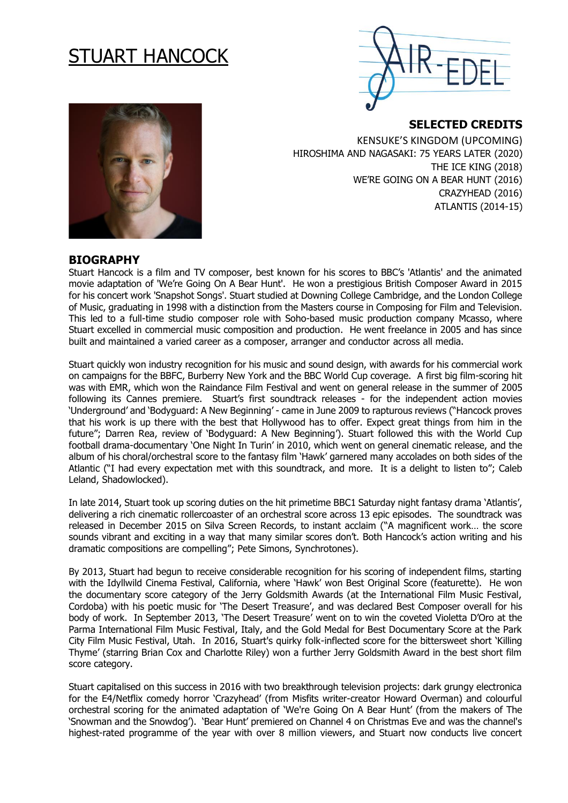# STUART HANCOCK



**SELECTED CREDITS** 

KENSUKE'S KINGDOM (UPCOMING) HIROSHIMA AND NAGASAKI: 75 YEARS LATER (2020) THE ICE KING (2018) WE'RE GOING ON A BEAR HUNT (2016) CRAZYHEAD (2016) ATLANTIS (2014-15)

### **BIOGRAPHY**

Stuart Hancock is a film and TV composer, best known for his scores to BBC's 'Atlantis' and the animated movie adaptation of 'We're Going On A Bear Hunt'. He won a prestigious British Composer Award in 2015 for his concert work 'Snapshot Songs'. Stuart studied at Downing College Cambridge, and the London College of Music, graduating in 1998 with a distinction from the Masters course in Composing for Film and Television. This led to a full-time studio composer role with Soho-based music production company Mcasso, where Stuart excelled in commercial music composition and production. He went freelance in 2005 and has since built and maintained a varied career as a composer, arranger and conductor across all media.

Stuart quickly won industry recognition for his music and sound design, with awards for his commercial work on campaigns for the BBFC, Burberry New York and the BBC World Cup coverage. A first big film-scoring hit was with EMR, which won the Raindance Film Festival and went on general release in the summer of 2005 following its Cannes premiere. Stuart's first soundtrack releases - for the independent action movies 'Underground' and 'Bodyguard: A New Beginning' - came in June 2009 to rapturous reviews ("Hancock proves that his work is up there with the best that Hollywood has to offer. Expect great things from him in the future"; Darren Rea, review of 'Bodyguard: A New Beginning'). Stuart followed this with the World Cup football drama-documentary 'One Night In Turin' in 2010, which went on general cinematic release, and the album of his choral/orchestral score to the fantasy film 'Hawk' garnered many accolades on both sides of the Atlantic ("I had every expectation met with this soundtrack, and more. It is a delight to listen to"; Caleb Leland, Shadowlocked).

In late 2014, Stuart took up scoring duties on the hit primetime BBC1 Saturday night fantasy drama 'Atlantis', delivering a rich cinematic rollercoaster of an orchestral score across 13 epic episodes. The soundtrack was released in December 2015 on Silva Screen Records, to instant acclaim ("A magnificent work… the score sounds vibrant and exciting in a way that many similar scores don't. Both Hancock's action writing and his dramatic compositions are compelling"; Pete Simons, Synchrotones).

By 2013, Stuart had begun to receive considerable recognition for his scoring of independent films, starting with the Idyllwild Cinema Festival, California, where 'Hawk' won Best Original Score (featurette). He won the documentary score category of the Jerry Goldsmith Awards (at the International Film Music Festival, Cordoba) with his poetic music for 'The Desert Treasure', and was declared Best Composer overall for his body of work. In September 2013, 'The Desert Treasure' went on to win the coveted Violetta D'Oro at the Parma International Film Music Festival, Italy, and the Gold Medal for Best Documentary Score at the Park City Film Music Festival, Utah. In 2016, Stuart's quirky folk-inflected score for the bittersweet short 'Killing Thyme' (starring Brian Cox and Charlotte Riley) won a further Jerry Goldsmith Award in the best short film score category.

Stuart capitalised on this success in 2016 with two breakthrough television projects: dark grungy electronica for the E4/Netflix comedy horror 'Crazyhead' (from Misfits writer-creator Howard Overman) and colourful orchestral scoring for the animated adaptation of 'We're Going On A Bear Hunt' (from the makers of The 'Snowman and the Snowdog'). 'Bear Hunt' premiered on Channel 4 on Christmas Eve and was the channel's highest-rated programme of the year with over 8 million viewers, and Stuart now conducts live concert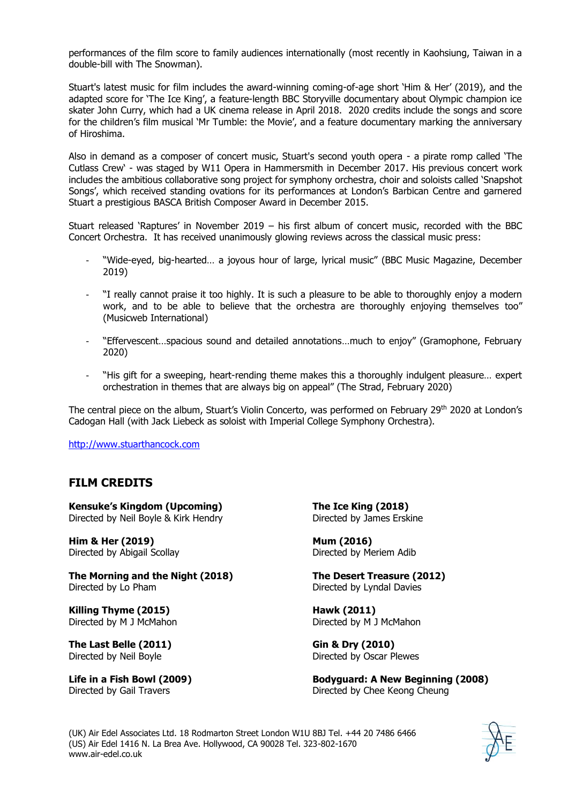performances of the film score to family audiences internationally (most recently in Kaohsiung, Taiwan in a double-bill with The Snowman).

Stuart's latest music for film includes the award-winning coming-of-age short 'Him & Her' (2019), and the adapted score for 'The Ice King', a feature-length BBC Storyville documentary about Olympic champion ice skater John Curry, which had a UK cinema release in April 2018. 2020 credits include the songs and score for the children's film musical 'Mr Tumble: the Movie', and a feature documentary marking the anniversary of Hiroshima.

Also in demand as a composer of concert music, Stuart's second youth opera - a pirate romp called 'The Cutlass Crew' - was staged by W11 Opera in Hammersmith in December 2017. His previous concert work includes the ambitious collaborative song project for symphony orchestra, choir and soloists called 'Snapshot Songs', which received standing ovations for its performances at London's Barbican Centre and garnered Stuart a prestigious BASCA British Composer Award in December 2015.

Stuart released 'Raptures' in November 2019 – his first album of concert music, recorded with the BBC Concert Orchestra. It has received unanimously glowing reviews across the classical music press:

- "Wide-eyed, big-hearted… a joyous hour of large, lyrical music" (BBC Music Magazine, December 2019)
- "I really cannot praise it too highly. It is such a pleasure to be able to thoroughly enjoy a modern work, and to be able to believe that the orchestra are thoroughly enjoying themselves too" (Musicweb International)
- "Effervescent…spacious sound and detailed annotations…much to enjoy" (Gramophone, February 2020)
- "His gift for a sweeping, heart-rending theme makes this a thoroughly indulgent pleasure... expert orchestration in themes that are always big on appeal" (The Strad, February 2020)

The central piece on the album, Stuart's Violin Concerto, was performed on February 29th 2020 at London's Cadogan Hall (with Jack Liebeck as soloist with Imperial College Symphony Orchestra).

[http://www.stuarthancock.com](http://www.stuarthancock.com/)

# **FILM CREDITS**

**Kensuke's Kingdom (Upcoming)** Directed by Neil Boyle & Kirk Hendry

**Him & Her (2019)** Directed by Abigail Scollay

**The Morning and the Night (2018)** Directed by Lo Pham

**Killing Thyme (2015)** Directed by M J McMahon

**The Last Belle (2011)** Directed by Neil Boyle

**Life in a Fish Bowl (2009)** Directed by Gail Travers

**The Ice King (2018)** Directed by James Erskine

**Mum (2016)** Directed by Meriem Adib

**The Desert Treasure (2012)** Directed by Lyndal Davies

**Hawk (2011)** Directed by M J McMahon

**Gin & Dry (2010)** Directed by Oscar Plewes

**Bodyguard: A New Beginning (2008)** Directed by Chee Keong Cheung

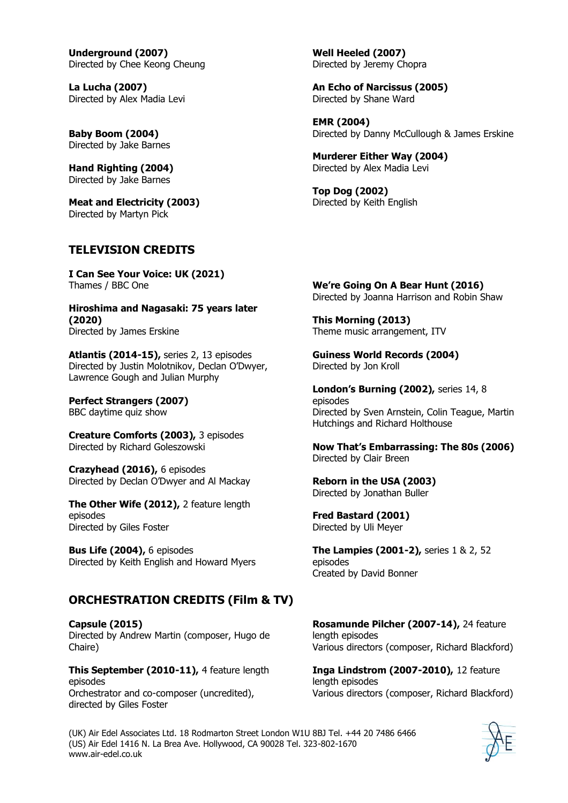**Underground (2007)** Directed by Chee Keong Cheung

**La Lucha (2007)** Directed by Alex Madia Levi

**Baby Boom (2004)** Directed by Jake Barnes

**Hand Righting (2004)** Directed by Jake Barnes

**Meat and Electricity (2003)** Directed by Martyn Pick

# **TELEVISION CREDITS**

**I Can See Your Voice: UK (2021)** Thames / BBC One

**Hiroshima and Nagasaki: 75 years later (2020)** Directed by James Erskine

**Atlantis (2014-15),** series 2, 13 episodes Directed by Justin Molotnikov, Declan O'Dwyer, Lawrence Gough and Julian Murphy

**Perfect Strangers (2007)** BBC daytime quiz show

**Creature Comforts (2003),** 3 episodes Directed by Richard Goleszowski

**Crazyhead (2016),** 6 episodes Directed by Declan O'Dwyer and Al Mackay

**The Other Wife (2012),** 2 feature length episodes Directed by Giles Foster

**Bus Life (2004),** 6 episodes Directed by Keith English and Howard Myers

# **ORCHESTRATION CREDITS (Film & TV)**

**Capsule (2015)** Directed by Andrew Martin (composer, Hugo de Chaire)

**This September (2010-11),** 4 feature length episodes Orchestrator and co-composer (uncredited), directed by Giles Foster

**Well Heeled (2007)** Directed by Jeremy Chopra

**An Echo of Narcissus (2005)** Directed by Shane Ward

**EMR (2004)** Directed by Danny McCullough & James Erskine

**Murderer Either Way (2004)** Directed by Alex Madia Levi

**Top Dog (2002)** Directed by Keith English

**We're Going On A Bear Hunt (2016)** Directed by Joanna Harrison and Robin Shaw

**This Morning (2013)** Theme music arrangement, ITV

**Guiness World Records (2004)** Directed by Jon Kroll

**London's Burning (2002),** series 14, 8 episodes Directed by Sven Arnstein, Colin Teague, Martin Hutchings and Richard Holthouse

**Now That's Embarrassing: The 80s (2006)** Directed by Clair Breen

**Reborn in the USA (2003)** Directed by Jonathan Buller

**Fred Bastard (2001)** Directed by Uli Meyer

**The Lampies (2001-2),** series 1 & 2, 52 episodes Created by David Bonner

**Rosamunde Pilcher (2007-14),** 24 feature length episodes Various directors (composer, Richard Blackford)

**Inga Lindstrom (2007-2010),** 12 feature length episodes Various directors (composer, Richard Blackford)

(UK) Air Edel Associates Ltd. 18 Rodmarton Street London W1U 8BJ Tel. +44 20 7486 6466 (US) Air Edel 1416 N. La Brea Ave. Hollywood, CA 90028 Tel. 323-802-1670 www.air-edel.co.uk

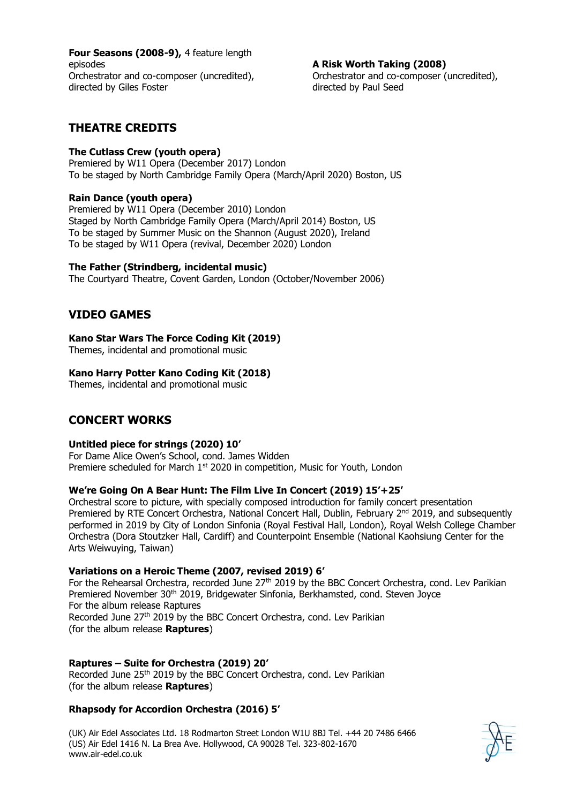**Four Seasons (2008-9),** 4 feature length episodes Orchestrator and co-composer (uncredited), directed by Giles Foster

**A Risk Worth Taking (2008)** Orchestrator and co-composer (uncredited), directed by Paul Seed

# **THEATRE CREDITS**

#### **The Cutlass Crew (youth opera)**

Premiered by W11 Opera (December 2017) London To be staged by North Cambridge Family Opera (March/April 2020) Boston, US

#### **Rain Dance (youth opera)**

Premiered by W11 Opera (December 2010) London Staged by North Cambridge Family Opera (March/April 2014) Boston, US To be staged by Summer Music on the Shannon (August 2020), Ireland To be staged by W11 Opera (revival, December 2020) London

#### **The Father (Strindberg, incidental music)**

The Courtyard Theatre, Covent Garden, London (October/November 2006)

## **VIDEO GAMES**

#### **Kano Star Wars The Force Coding Kit (2019)**

Themes, incidental and promotional music

#### **Kano Harry Potter Kano Coding Kit (2018)**

Themes, incidental and promotional music

# **CONCERT WORKS**

#### **Untitled piece for strings (2020) 10'**

For Dame Alice Owen's School, cond. James Widden Premiere scheduled for March 1<sup>st</sup> 2020 in competition, Music for Youth, London

#### **We're Going On A Bear Hunt: The Film Live In Concert (2019) 15'+25'**

Orchestral score to picture, with specially composed introduction for family concert presentation Premiered by RTE Concert Orchestra, National Concert Hall, Dublin, February 2<sup>nd</sup> 2019, and subsequently performed in 2019 by City of London Sinfonia (Royal Festival Hall, London), Royal Welsh College Chamber Orchestra (Dora Stoutzker Hall, Cardiff) and Counterpoint Ensemble (National Kaohsiung Center for the Arts Weiwuying, Taiwan)

#### **Variations on a Heroic Theme (2007, revised 2019) 6'**

For the Rehearsal Orchestra, recorded June 27<sup>th</sup> 2019 by the BBC Concert Orchestra, cond. Lev Parikian Premiered November 30<sup>th</sup> 2019, Bridgewater Sinfonia, Berkhamsted, cond. Steven Joyce For the album release Raptures Recorded June 27<sup>th</sup> 2019 by the BBC Concert Orchestra, cond. Lev Parikian (for the album release **Raptures**)

#### **Raptures – Suite for Orchestra (2019) 20'**

Recorded June 25<sup>th</sup> 2019 by the BBC Concert Orchestra, cond. Lev Parikian (for the album release **Raptures**)

#### **Rhapsody for Accordion Orchestra (2016) 5'**

(UK) Air Edel Associates Ltd. 18 Rodmarton Street London W1U 8BJ Tel. +44 20 7486 6466 (US) Air Edel 1416 N. La Brea Ave. Hollywood, CA 90028 Tel. 323-802-1670 www.air-edel.co.uk